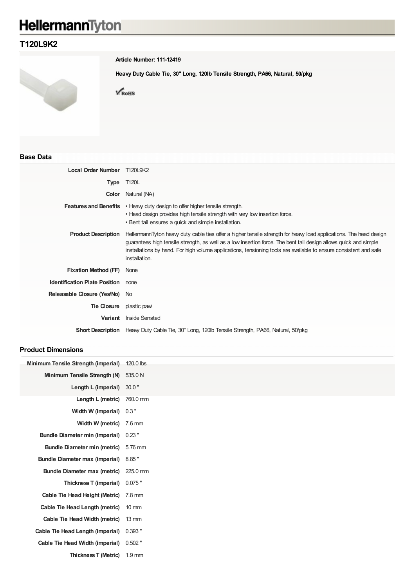# HellermannTyton

## **T120L9K2**



**Article Number: 111-12419**

**Heavy Duty Cable Tie, 30" Long, 120lb Tensile Strength, PA66, Natural, 50/pkg**

 $\sqrt{\text{RoHS}}$ 

#### **Base Data**

| <b>Local Order Number</b>                 | T <sub>120</sub> 9K <sub>2</sub>                                                                                                                                                                                                                                                                                                                                             |
|-------------------------------------------|------------------------------------------------------------------------------------------------------------------------------------------------------------------------------------------------------------------------------------------------------------------------------------------------------------------------------------------------------------------------------|
| <b>Type</b>                               | <b>T120L</b>                                                                                                                                                                                                                                                                                                                                                                 |
|                                           | <b>Color</b> Natural (NA)                                                                                                                                                                                                                                                                                                                                                    |
| <b>Features and Benefits</b>              | • Heavy duty design to offer higher tensile strength.<br>. Head design provides high tensile strength with very low insertion force.<br>• Bent tail ensures a quick and simple installation.                                                                                                                                                                                 |
| <b>Product Description</b>                | HellermannTyton heavy duty cable ties offer a higher tensile strength for heavy load applications. The head design<br>guarantees high tensile strength, as well as a low insertion force. The bent tail design allows quick and simple<br>installations by hand. For high volume applications, tensioning tools are available to ensure consistent and safe<br>installation. |
| <b>Fixation Method (FF)</b>               | None                                                                                                                                                                                                                                                                                                                                                                         |
| <b>Identification Plate Position</b> none |                                                                                                                                                                                                                                                                                                                                                                              |
| Releasable Closure (Yes/No) No            |                                                                                                                                                                                                                                                                                                                                                                              |
| <b>Tie Closure</b>                        | plastic pawl                                                                                                                                                                                                                                                                                                                                                                 |
| Variant                                   | Inside Serrated                                                                                                                                                                                                                                                                                                                                                              |
| <b>Short Description</b>                  | Heavy Duty Cable Tie, 30" Long, 120lb Tensile Strength, PA66, Natural, 50/pkg                                                                                                                                                                                                                                                                                                |

#### **Product Dimensions**

| Minimum Tensile Strength (imperial)   | 120.0 lbs        |
|---------------------------------------|------------------|
| Minimum Tensile Strength (N)          | 535.0 N          |
| Length L (imperial)                   | $30.0$ "         |
| Length L (metric)                     | 760.0 mm         |
| Width W (imperial)                    | 0.3"             |
| Width W (metric)                      | 7.6 mm           |
| <b>Bundle Diameter min (imperial)</b> | $0.23$ "         |
| <b>Bundle Diameter min (metric)</b>   | 5.76 mm          |
| <b>Bundle Diameter max (imperial)</b> | $8.85$ "         |
| <b>Bundle Diameter max (metric)</b>   | 225.0 mm         |
| Thickness T (imperial)                | $0.075$ "        |
| Cable Tie Head Height (Metric)        | $7.8 \text{ mm}$ |
| Cable Tie Head Length (metric)        | $10 \text{ mm}$  |
| Cable Tie Head Width (metric)         | $13 \text{ mm}$  |
| Cable Tie Head Length (imperial)      | $0.393$ "        |
| Cable Tie Head Width (imperial)       | $0.502$ "        |
| <b>Thickness T (Metric)</b>           | $1.9 \text{ mm}$ |
|                                       |                  |